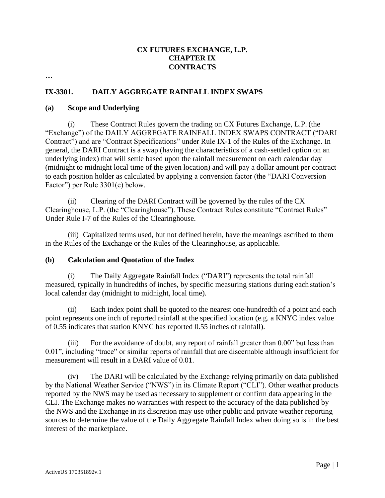## **CX FUTURES EXCHANGE, L.P. CHAPTER IX CONTRACTS**

**…**

# **IX-3301. DAILY AGGREGATE RAINFALL INDEX SWAPS**

#### **(a) Scope and Underlying**

(i) These Contract Rules govern the trading on CX Futures Exchange, L.P. (the "Exchange") of the DAILY AGGREGATE RAINFALL INDEX SWAPS CONTRACT ("DARI Contract") and are "Contract Specifications" under Rule IX-1 of the Rules of the Exchange. In general, the DARI Contract is a swap (having the characteristics of a cash-settled option on an underlying index) that will settle based upon the rainfall measurement on each calendar day (midnight to midnight local time of the given location) and will pay a dollar amount per contract to each position holder as calculated by applying a conversion factor (the "DARI Conversion Factor") per Rule 3301(e) below.

(ii) Clearing of the DARI Contract will be governed by the rules of the CX Clearinghouse, L.P. (the "Clearinghouse"). These Contract Rules constitute "Contract Rules" Under Rule I-7 of the Rules of the Clearinghouse.

(iii) Capitalized terms used, but not defined herein, have the meanings ascribed to them in the Rules of the Exchange or the Rules of the Clearinghouse, as applicable.

### **(b) Calculation and Quotation of the Index**

(i) The Daily Aggregate Rainfall Index ("DARI") represents the total rainfall measured, typically in hundredths of inches, by specific measuring stations during each station's local calendar day (midnight to midnight, local time).

(ii) Each index point shall be quoted to the nearest one-hundredth of a point and each point represents one inch of reported rainfall at the specified location (e.g. a KNYC index value of 0.55 indicates that station KNYC has reported 0.55 inches of rainfall).

(iii) For the avoidance of doubt, any report of rainfall greater than 0.00" but less than 0.01", including "trace" or similar reports of rainfall that are discernable although insufficient for measurement will result in a DARI value of 0.01.

(iv) The DARI will be calculated by the Exchange relying primarily on data published by the National Weather Service ("NWS") in its Climate Report ("CLI"). Other weather products reported by the NWS may be used as necessary to supplement or confirm data appearing in the CLI. The Exchange makes no warranties with respect to the accuracy of the data published by the NWS and the Exchange in its discretion may use other public and private weather reporting sources to determine the value of the Daily Aggregate Rainfall Index when doing so is in the best interest of the marketplace.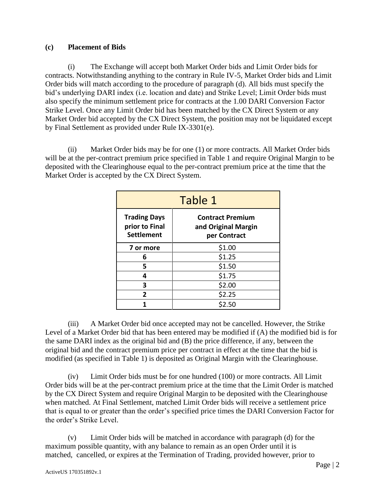## **(c) Placement of Bids**

(i) The Exchange will accept both Market Order bids and Limit Order bids for contracts. Notwithstanding anything to the contrary in Rule IV-5, Market Order bids and Limit Order bids will match according to the procedure of paragraph (d). All bids must specify the bid's underlying DARI index (i.e. location and date) and Strike Level; Limit Order bids must also specify the minimum settlement price for contracts at the 1.00 DARI Conversion Factor Strike Level. Once any Limit Order bid has been matched by the CX Direct System or any Market Order bid accepted by the CX Direct System, the position may not be liquidated except by Final Settlement as provided under Rule IX-3301(e).

(ii) Market Order bids may be for one (1) or more contracts. All Market Order bids will be at the per-contract premium price specified in Table 1 and require Original Margin to be deposited with the Clearinghouse equal to the per-contract premium price at the time that the Market Order is accepted by the CX Direct System.

| Table 1                                                    |                                                                |  |
|------------------------------------------------------------|----------------------------------------------------------------|--|
| <b>Trading Days</b><br>prior to Final<br><b>Settlement</b> | <b>Contract Premium</b><br>and Original Margin<br>per Contract |  |
| 7 or more                                                  | \$1.00                                                         |  |
| 6                                                          | \$1.25                                                         |  |
| 5                                                          | \$1.50                                                         |  |
| 4                                                          | \$1.75                                                         |  |
| 3                                                          | \$2.00                                                         |  |
| 2                                                          | \$2.25                                                         |  |
|                                                            | \$2.50                                                         |  |

(iii) A Market Order bid once accepted may not be cancelled. However, the Strike Level of a Market Order bid that has been entered may be modified if (A) the modified bid is for the same DARI index as the original bid and (B) the price difference, if any, between the original bid and the contract premium price per contract in effect at the time that the bid is modified (as specified in Table 1) is deposited as Original Margin with the Clearinghouse.

(iv) Limit Order bids must be for one hundred (100) or more contracts. All Limit Order bids will be at the per-contract premium price at the time that the Limit Order is matched by the CX Direct System and require Original Margin to be deposited with the Clearinghouse when matched. At Final Settlement, matched Limit Order bids will receive a settlement price that is equal to or greater than the order's specified price times the DARI Conversion Factor for the order's Strike Level.

(v) Limit Order bids will be matched in accordance with paragraph (d) for the maximum possible quantity, with any balance to remain as an open Order until it is matched, cancelled, or expires at the Termination of Trading, provided however, prior to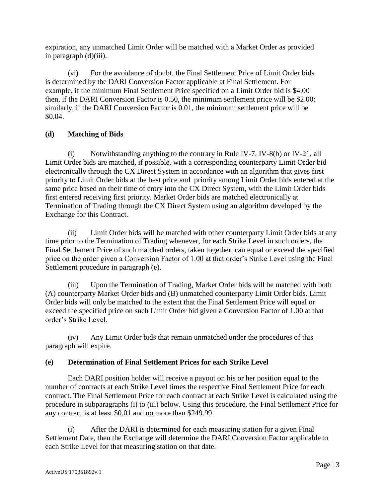expiration, any unmatched Limit Order will be matched with a Market Order as provided in paragraph (d)(iii).

(vi) For the avoidance of doubt, the Final Settlement Price of Limit Order bids is determined by the DARI Conversion Factor applicable at Final Settlement. For example, if the minimum Final Settlement Price specified on a Limit Order bid is \$4.00 then, if the DARI Conversion Factor is 0.50, the minimum settlement price will be \$2.00; similarly, if the DARI Conversion Factor is 0.01, the minimum settlement price will be \$0.04.

# **(d) Matching of Bids**

(i) Notwithstanding anything to the contrary in Rule IV-7, IV-8(b) or IV-21, all Limit Order bids are matched, if possible, with a corresponding counterparty Limit Order bid electronically through the CX Direct System in accordance with an algorithm that gives first priority to Limit Order bids at the best price and priority among Limit Order bids entered at the same price based on their time of entry into the CX Direct System, with the Limit Order bids first entered receiving first priority. Market Order bids are matched electronically at Termination of Trading through the CX Direct System using an algorithm developed by the Exchange for this Contract.

(ii) Limit Order bids will be matched with other counterparty Limit Order bids at any time prior to the Termination of Trading whenever, for each Strike Level in such orders, the Final Settlement Price of such matched orders, taken together, can equal or exceed the specified price on the order given a Conversion Factor of 1.00 at that order's Strike Level using the Final Settlement procedure in paragraph (e).

(iii) Upon the Termination of Trading, Market Order bids will be matched with both (A) counterparty Market Order bids and (B) unmatched counterparty Limit Order bids. Limit Order bids will only be matched to the extent that the Final Settlement Price will equal or exceed the specified price on such Limit Order bid given a Conversion Factor of 1.00 at that order's Strike Level.

(iv) Any Limit Order bids that remain unmatched under the procedures of this paragraph will expire.

## **(e) Determination of Final Settlement Prices for each Strike Level**

Each DARI position holder will receive a payout on his or her position equal to the number of contracts at each Strike Level times the respective Final Settlement Price for each contract. The Final Settlement Price for each contract at each Strike Level is calculated using the procedure in subparagraphs (i) to (iii) below. Using this procedure, the Final Settlement Price for any contract is at least \$0.01 and no more than \$249.99.

(i) After the DARI is determined for each measuring station for a given Final Settlement Date, then the Exchange will determine the DARI Conversion Factor applicable to each Strike Level for that measuring station on that date.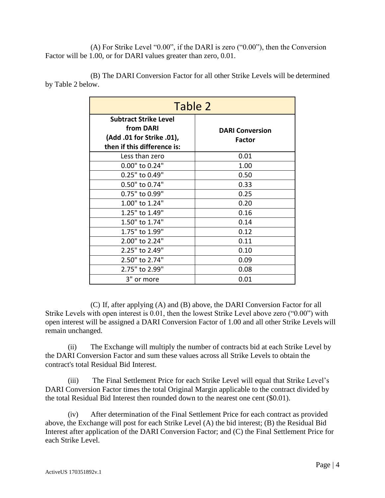(A) For Strike Level "0.00", if the DARI is zero ("0.00"), then the Conversion Factor will be 1.00, or for DARI values greater than zero, 0.01.

(B) The DARI Conversion Factor for all other Strike Levels will be determined by Table 2 below.

| Table 2                                                                                               |                                         |  |
|-------------------------------------------------------------------------------------------------------|-----------------------------------------|--|
| <b>Subtract Strike Level</b><br>from DARI<br>(Add .01 for Strike .01),<br>then if this difference is: | <b>DARI Conversion</b><br><b>Factor</b> |  |
| Less than zero                                                                                        | 0.01                                    |  |
| 0.00" to 0.24"                                                                                        | 1.00                                    |  |
| 0.25" to 0.49"                                                                                        | 0.50                                    |  |
| 0.50" to 0.74"                                                                                        | 0.33                                    |  |
| 0.75" to 0.99"                                                                                        | 0.25                                    |  |
| 1.00" to 1.24"                                                                                        | 0.20                                    |  |
| 1.25" to 1.49"                                                                                        | 0.16                                    |  |
| 1.50" to 1.74"                                                                                        | 0.14                                    |  |
| 1.75" to 1.99"                                                                                        | 0.12                                    |  |
| 2.00" to 2.24"                                                                                        | 0.11                                    |  |
| 2.25" to 2.49"                                                                                        | 0.10                                    |  |
| 2.50" to 2.74"                                                                                        | 0.09                                    |  |
| 2.75" to 2.99"                                                                                        | 0.08                                    |  |
| 3" or more                                                                                            | 0.01                                    |  |

(C) If, after applying (A) and (B) above, the DARI Conversion Factor for all Strike Levels with open interest is 0.01, then the lowest Strike Level above zero ("0.00") with open interest will be assigned a DARI Conversion Factor of 1.00 and all other Strike Levels will remain unchanged.

(ii) The Exchange will multiply the number of contracts bid at each Strike Level by the DARI Conversion Factor and sum these values across all Strike Levels to obtain the contract's total Residual Bid Interest.

(iii) The Final Settlement Price for each Strike Level will equal that Strike Level's DARI Conversion Factor times the total Original Margin applicable to the contract divided by the total Residual Bid Interest then rounded down to the nearest one cent (\$0.01).

(iv) After determination of the Final Settlement Price for each contract as provided above, the Exchange will post for each Strike Level (A) the bid interest; (B) the Residual Bid Interest after application of the DARI Conversion Factor; and (C) the Final Settlement Price for each Strike Level.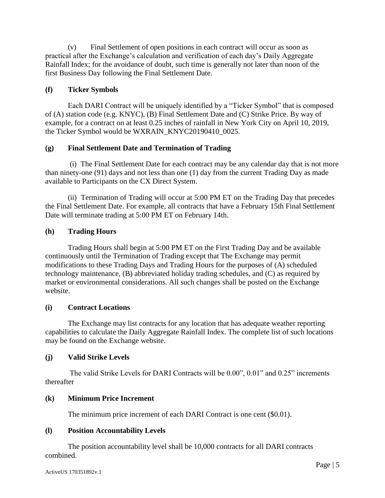(v) Final Settlement of open positions in each contract will occur as soon as practical after the Exchange's calculation and verification of each day's Daily Aggregate Rainfall Index; for the avoidance of doubt, such time is generally not later than noon of the first Business Day following the Final Settlement Date.

## **(f) Ticker Symbols**

Each DARI Contract will be uniquely identified by a "Ticker Symbol" that is composed of (A) station code (e.g. KNYC), (B) Final Settlement Date and (C) Strike Price. By way of example, for a contract on at least 0.25 inches of rainfall in New York City on April 10, 2019, the Ticker Symbol would be WXRAIN\_KNYC20190410\_0025.

## **(g) Final Settlement Date and Termination of Trading**

(i) The Final Settlement Date for each contract may be any calendar day that is not more than ninety-one (91) days and not less than one (1) day from the current Trading Day as made available to Participants on the CX Direct System.

(ii) Termination of Trading will occur at 5:00 PM ET on the Trading Day that precedes the Final Settlement Date. For example, all contracts that have a February 15th Final Settlement Date will terminate trading at 5:00 PM ET on February 14th.

## **(h) Trading Hours**

Trading Hours shall begin at 5:00 PM ET on the First Trading Day and be available continuously until the Termination of Trading except that The Exchange may permit modifications to these Trading Days and Trading Hours for the purposes of (A) scheduled technology maintenance, (B) abbreviated holiday trading schedules, and (C) as required by market or environmental considerations. All such changes shall be posted on the Exchange website.

### **(i) Contract Locations**

The Exchange may list contracts for any location that has adequate weather reporting capabilities to calculate the Daily Aggregate Rainfall Index. The complete list of such locations may be found on the Exchange website.

## **(j) Valid Strike Levels**

The valid Strike Levels for DARI Contracts will be 0.00", 0.01" and 0.25" increments thereafter

### **(k) Minimum Price Increment**

The minimum price increment of each DARI Contract is one cent (\$0.01).

### **(l) Position Accountability Levels**

The position accountability level shall be 10,000 contracts for all DARI contracts combined.